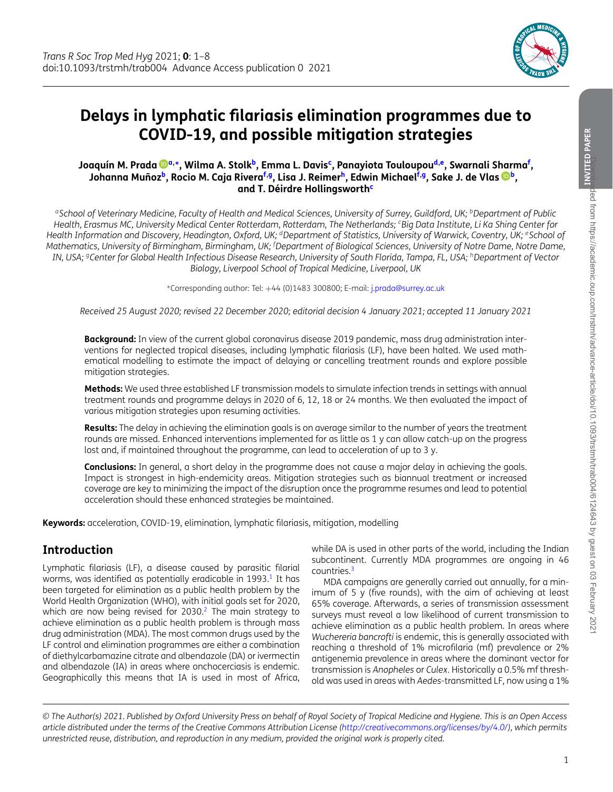<span id="page-0-8"></span><span id="page-0-5"></span><span id="page-0-3"></span><span id="page-0-2"></span>

# **Delays in lymphatic filariasis elimination programmes due to COVID-19, and possible mitigation strategies**

#### **Joaquín M. Prada [a,](#page-0-0)[∗](#page-0-1), Wilma A. Stol[kb,](#page-0-2) Emma L. Davi[sc,](#page-0-3) Panayiota Touloupo[ud](#page-0-4)[,e,](#page-0-5) Swarnali Sharm[af](#page-0-6) , Johanna Muño[zb,](#page-0-2) Rocio M. Caja River[af](#page-0-6)[,g,](#page-0-7) Lisa J. Reime[rh,](#page-0-8) Edwin Michae[lf](#page-0-6)[,g,](#page-0-7) Sake J. de Vlas [b,](#page-0-2) and T. Déirdre Hollingsworth[c](#page-0-3)**

<span id="page-0-0"></span>*aSchool of Veterinary Medicine, Faculty of Health and Medical Sciences, University of Surrey, Guildford, UK; bDepartment of Public Health, Erasmus MC, University Medical Center Rotterdam, Rotterdam, The Netherlands; cBig Data Institute, Li Ka Shing Center for Health Information and Discovery, Headington, Oxford, UK; dDepartment of Statistics, University of Warwick, Coventry, UK; eSchool of Mathematics, University of Birmingham, Birmingham, UK; <sup>f</sup> Department of Biological Sciences, University of Notre Dame, Notre Dame, IN, USA; gCenter for Global Health Infectious Disease Research, University of South Florida, Tampa, FL, USA; hDepartment of Vector Biology, Liverpool School of Tropical Medicine, Liverpool, UK*

<span id="page-0-6"></span><span id="page-0-4"></span><span id="page-0-1"></span><sup>∗</sup>Corresponding author: Tel: +44 (0)1483 300800; E-mail: [j.prada@surrey.ac.uk](mailto:j.prada@surrey.ac.uk)

<span id="page-0-7"></span>*Received 25 August 2020; revised 22 December 2020; editorial decision 4 January 2021; accepted 11 January 2021*

**Background:** In view of the current global coronavirus disease 2019 pandemic, mass drug administration interventions for neglected tropical diseases, including lymphatic filariasis (LF), have been halted. We used mathematical modelling to estimate the impact of delaying or cancelling treatment rounds and explore possible mitigation strategies.

**Methods:** We used three established LF transmission models to simulate infection trends in settings with annual treatment rounds and programme delays in 2020 of 6, 12, 18 or 24 months. We then evaluated the impact of various mitigation strategies upon resuming activities.

**Results:** The delay in achieving the elimination goals is on average similar to the number of years the treatment rounds are missed. Enhanced interventions implemented for as little as 1 y can allow catch-up on the progress lost and, if maintained throughout the programme, can lead to acceleration of up to 3 y.

**Conclusions:** In general, a short delay in the programme does not cause a major delay in achieving the goals. Impact is strongest in high-endemicity areas. Mitigation strategies such as biannual treatment or increased coverage are key to minimizing the impact of the disruption once the programme resumes and lead to potential acceleration should these enhanced strategies be maintained.

**Keywords:** acceleration, COVID-19, elimination, lymphatic filariasis, mitigation, modelling

## **Introduction**

Lymphatic filariasis (LF), a disease caused by parasitic filarial worms, was identified as potentially eradicable in 1993.<sup>1</sup> It has been targeted for elimination as a public health problem by the World Health Organization (WHO), with initial goals set for 2020, which are now being revised for  $2030<sup>2</sup>$  $2030<sup>2</sup>$ . The main strategy to achieve elimination as a public health problem is through mass drug administration (MDA). The most common drugs used by the LF control and elimination programmes are either a combination of diethylcarbamazine citrate and albendazole (DA) or ivermectin and albendazole (IA) in areas where onchocerciasis is endemic. Geographically this means that IA is used in most of Africa,

while DA is used in other parts of the world, including the Indian subcontinent. Currently MDA programmes are ongoing in 46 countries[.3](#page-6-2)

MDA campaigns are generally carried out annually, for a minimum of 5 y (five rounds), with the aim of achieving at least 65% coverage. Afterwards, a series of transmission assessment surveys must reveal a low likelihood of current transmission to achieve elimination as a public health problem. In areas where *Wuchereria bancrofti* is endemic, this is generally associated with reaching a threshold of 1% microfilaria (mf) prevalence or 2% antigenemia prevalence in areas where the dominant vector for transmission is *Anopheles* or *Culex*. Historically a 0.5% mf threshold was used in areas with *Aedes*-transmitted LF, now using a 1%

*© The Author(s) 2021. Published by Oxford University Press on behalf of Royal Society of Tropical Medicine and Hygiene. This is an Open Access article distributed under the terms of the Creative Commons Attribution License [\(http://creativecommons.org/licenses/by/4.0/\)](http://creativecommons.org/licenses/by/4.0/), which permits unrestricted reuse, distribution, and reproduction in any medium, provided the original work is properly cited.*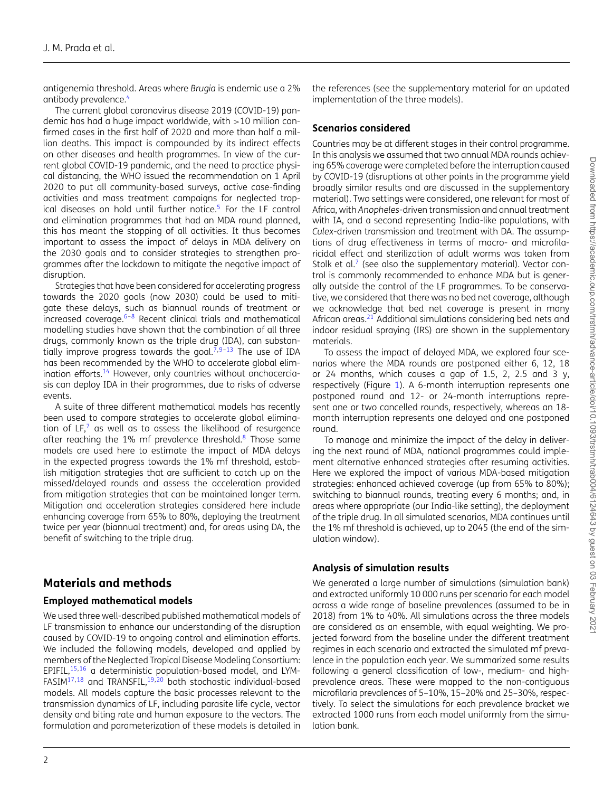antigenemia threshold. Areas where *Brugia* is endemic use a 2% antibody prevalence.<sup>4</sup>

The current global coronavirus disease 2019 (COVID-19) pandemic has had a huge impact worldwide, with  $>10$  million confirmed cases in the first half of 2020 and more than half a million deaths. This impact is compounded by its indirect effects on other diseases and health programmes. In view of the current global COVID-19 pandemic, and the need to practice physical distancing, the WHO issued the recommendation on 1 April 2020 to put all community-based surveys, active case-finding activities and mass treatment campaigns for neglected tropical diseases on hold until further notice.<sup>5</sup> For the LF control and elimination programmes that had an MDA round planned, this has meant the stopping of all activities. It thus becomes important to assess the impact of delays in MDA delivery on the 2030 goals and to consider strategies to strengthen programmes after the lockdown to mitigate the negative impact of disruption.

Strategies that have been considered for accelerating progress towards the 2020 goals (now 2030) could be used to mitigate these delays, such as biannual rounds of treatment or increased coverage. $6-8$  $6-8$  Recent clinical trials and mathematical modelling studies have shown that the combination of all three drugs, commonly known as the triple drug (IDA), can substantially improve progress towards the goal. $\bar{7},9-13$  $\bar{7},9-13$  The use of IDA has been recommended by the WHO to accelerate global elimination efforts.<sup>14</sup> However, only countries without onchocerciasis can deploy IDA in their programmes, due to risks of adverse events.

A suite of three different mathematical models has recently been used to compare strategies to accelerate global elimination of LF, $^7$  $^7$  as well as to assess the likelihood of resurgence after reaching the 1% mf prevalence threshold.<sup>8</sup> Those same models are used here to estimate the impact of MDA delays in the expected progress towards the 1% mf threshold, establish mitigation strategies that are sufficient to catch up on the missed/delayed rounds and assess the acceleration provided from mitigation strategies that can be maintained longer term. Mitigation and acceleration strategies considered here include enhancing coverage from 65% to 80%, deploying the treatment twice per year (biannual treatment) and, for areas using DA, the benefit of switching to the triple drug.

## **Materials and methods**

#### **Employed mathematical models**

We used three well-described published mathematical models of LF transmission to enhance our understanding of the disruption caused by COVID-19 to ongoing control and elimination efforts. We included the following models, developed and applied by members of the Neglected Tropical Disease Modeling Consortium: EPIFIL[,15](#page-7-2)[,16](#page-7-3) a deterministic population-based model, and LYM-FASIM<sup>17,[18](#page-7-5)</sup> and TRANSFIL,<sup>19,[20](#page-7-7)</sup> both stochastic individual-based models. All models capture the basic processes relevant to the transmission dynamics of LF, including parasite life cycle, vector density and biting rate and human exposure to the vectors. The formulation and parameterization of these models is detailed in

Countries may be at different stages in their control programme. In this analysis we assumed that two annual MDA rounds achieving 65% coverage were completed before the interruption caused by COVID-19 (disruptions at other points in the programme yield broadly similar results and are discussed in the supplementary material). Two settings were considered, one relevant for most of Africa, with *Anopheles*-driven transmission and annual treatment with IA, and a second representing India-like populations, with *Culex*-driven transmission and treatment with DA. The assumptions of drug effectiveness in terms of macro- and microfilaricidal effect and sterilization of adult worms was taken from Stolk et al. $<sup>7</sup>$  $<sup>7</sup>$  $<sup>7</sup>$  (see also the supplementary material). Vector con-</sup> trol is commonly recommended to enhance MDA but is generally outside the control of the LF programmes. To be conservative, we considered that there was no bed net coverage, although we acknowledge that bed net coverage is present in many African areas.<sup>21</sup> Additional simulations considering bed nets and indoor residual spraying (IRS) are shown in the supplementary materials.

the references (see the supplementary material for an updated

implementation of the three models).

To assess the impact of delayed MDA, we explored four scenarios where the MDA rounds are postponed either 6, 12, 18 or 24 months, which causes a gap of 1.5, 2, 2.5 and 3  $y$ , respectively (Figure [1\)](#page-2-0). A 6-month interruption represents one postponed round and 12- or 24-month interruptions represent one or two cancelled rounds, respectively, whereas an 18 month interruption represents one delayed and one postponed round.

To manage and minimize the impact of the delay in delivering the next round of MDA, national programmes could implement alternative enhanced strategies after resuming activities. Here we explored the impact of various MDA-based mitigation strategies: enhanced achieved coverage (up from 65% to 80%); switching to biannual rounds, treating every 6 months; and, in areas where appropriate (our India-like setting), the deployment of the triple drug. In all simulated scenarios, MDA continues until the 1% mf threshold is achieved, up to 2045 (the end of the simulation window).

## **Analysis of simulation results**

We generated a large number of simulations (simulation bank) and extracted uniformly 10 000 runs per scenario for each model across a wide range of baseline prevalences (assumed to be in 2018) from 1% to 40%. All simulations across the three models are considered as an ensemble, with equal weighting. We projected forward from the baseline under the different treatment regimes in each scenario and extracted the simulated mf prevalence in the population each year. We summarized some results following a general classification of low-, medium- and highprevalence areas. These were mapped to the non-contiguous microfilaria prevalences of 5–10%, 15–20% and 25–30%, respectively. To select the simulations for each prevalence bracket we extracted 1000 runs from each model uniformly from the simulation bank.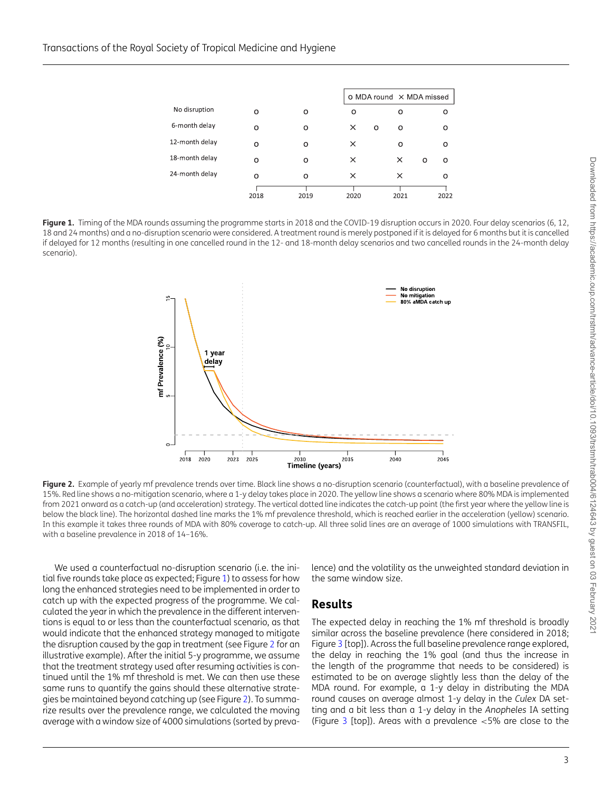<span id="page-2-0"></span>

|                |      |         |          |        | O MDA round X MDA missed |      |  |
|----------------|------|---------|----------|--------|--------------------------|------|--|
| No disruption  | O    | O       | Ο        | Ο      |                          | ο    |  |
| 6-month delay  | Ω    | O       | ×        | O<br>O |                          | o    |  |
| 12-month delay | Ω    | $\circ$ | ×        | Ω      |                          | O    |  |
| 18-month delay | O    | O       | ×        | ×      | O                        | O    |  |
| 24-month delay | o    | O       | $\times$ | ×      |                          | o    |  |
|                | 2018 | 2019    | 2020     | 2021   |                          | 2022 |  |

<span id="page-2-1"></span>Figure 1. Timing of the MDA rounds assuming the programme starts in 2018 and the COVID-19 disruption occurs in 2020. Four delay scenarios (6, 12, 18 and 24 months) and a no-disruption scenario were considered. A treatment round is merely postponed if it is delayed for 6 months but it is cancelled if delayed for 12 months (resulting in one cancelled round in the 12- and 18-month delay scenarios and two cancelled rounds in the 24-month delay scenario).



Figure 2. Example of yearly mf prevalence trends over time. Black line shows a no-disruption scenario (counterfactual), with a baseline prevalence of 15%. Red line shows a no-mitigation scenario, where a 1-y delay takes place in 2020. The yellow line shows a scenario where 80% MDA is implemented from 2021 onward as a catch-up (and acceleration) strategy. The vertical dotted line indicates the catch-up point (the first year where the yellow line is below the black line). The horizontal dashed line marks the 1% mf prevalence threshold, which is reached earlier in the acceleration (yellow) scenario. In this example it takes three rounds of MDA with 80% coverage to catch-up. All three solid lines are an average of 1000 simulations with TRANSFIL, with a baseline prevalence in 2018 of 14–16%.

We used a counterfactual no-disruption scenario (i.e. the initial five rounds take place as expected; Figure [1\)](#page-2-0) to assess for how long the enhanced strategies need to be implemented in order to catch up with the expected progress of the programme. We calculated the year in which the prevalence in the different interventions is equal to or less than the counterfactual scenario, as that would indicate that the enhanced strategy managed to mitigate the disruption caused by the gap in treatment (see Figure [2](#page-2-1) for an illustrative example). After the initial 5-y programme, we assume that the treatment strategy used after resuming activities is continued until the 1% mf threshold is met. We can then use these same runs to quantify the gains should these alternative strategies be maintained beyond catching up (see Figure [2\)](#page-2-1). To summarize results over the prevalence range, we calculated the moving average with a window size of 4000 simulations (sorted by prevalence) and the volatility as the unweighted standard deviation in the same window size.

#### **Results**

The expected delay in reaching the 1% mf threshold is broadly similar across the baseline prevalence (here considered in 2018; Figure [3](#page-3-0) [top]). Across the full baseline prevalence range explored, the delay in reaching the 1% goal (and thus the increase in the length of the programme that needs to be considered) is estimated to be on average slightly less than the delay of the MDA round. For example, a 1-y delay in distributing the MDA round causes on average almost 1-y delay in the *Culex* DA setting and a bit less than a 1-y delay in the *Anopheles* IA setting (Figure  $3$  [top]). Areas with a prevalence  $<5\%$  are close to the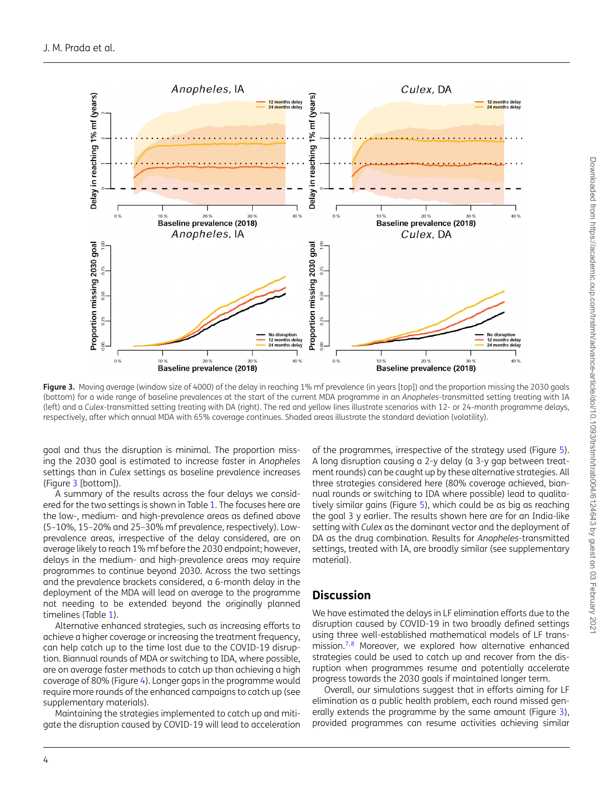<span id="page-3-0"></span>

Figure 3. Moving average (window size of 4000) of the delay in reaching 1% mf prevalence (in years [top]) and the proportion missing the 2030 goals (bottom) for a wide range of baseline prevalences at the start of the current MDA programme in an *Anopheles*-transmitted setting treating with IA (left) and a *Culex*-transmitted setting treating with DA (right). The red and yellow lines illustrate scenarios with 12- or 24-month programme delays, respectively, after which annual MDA with 65% coverage continues. Shaded areas illustrate the standard deviation (volatility).

goal and thus the disruption is minimal. The proportion missing the 2030 goal is estimated to increase faster in *Anopheles* settings than in *Culex* settings as baseline prevalence increases (Figure [3](#page-3-0) [bottom]).

A summary of the results across the four delays we considered for the two settings is shown in Table [1.](#page-4-0) The focuses here are the low-, medium- and high-prevalence areas as defined above (5–10%, 15–20% and 25–30% mf prevalence, respectively). Lowprevalence areas, irrespective of the delay considered, are on average likely to reach 1% mf before the 2030 endpoint; however, delays in the medium- and high-prevalence areas may require programmes to continue beyond 2030. Across the two settings and the prevalence brackets considered, a 6-month delay in the deployment of the MDA will lead on average to the programme not needing to be extended beyond the originally planned timelines (Table [1\)](#page-4-0).

Alternative enhanced strategies, such as increasing efforts to achieve a higher coverage or increasing the treatment frequency, can help catch up to the time lost due to the COVID-19 disruption. Biannual rounds of MDA or switching to IDA, where possible, are on average faster methods to catch up than achieving a high coverage of 80% (Figure [4\)](#page-4-1). Longer gaps in the programme would require more rounds of the enhanced campaigns to catch up (see supplementary materials).

Maintaining the strategies implemented to catch up and mitigate the disruption caused by COVID-19 will lead to acceleration of the programmes, irrespective of the strategy used (Figure [5\)](#page-5-0). A long disruption causing a 2-y delay (a 3-y gap between treatment rounds) can be caught up by these alternative strategies. All three strategies considered here (80% coverage achieved, biannual rounds or switching to IDA where possible) lead to qualitatively similar gains (Figure [5\)](#page-5-0), which could be as big as reaching the goal 3 y earlier. The results shown here are for an India-like setting with *Culex* as the dominant vector and the deployment of DA as the drug combination. Results for *Anopheles*-transmitted settings, treated with IA, are broadly similar (see supplementary material).

## **Discussion**

We have estimated the delays in LF elimination efforts due to the disruption caused by COVID-19 in two broadly defined settings using three well-established mathematical models of LF trans-mission.<sup>7,[8](#page-6-6)</sup> Moreover, we explored how alternative enhanced strategies could be used to catch up and recover from the disruption when programmes resume and potentially accelerate progress towards the 2030 goals if maintained longer term.

Overall, our simulations suggest that in efforts aiming for LF elimination as a public health problem, each round missed generally extends the programme by the same amount (Figure [3\)](#page-3-0), provided programmes can resume activities achieving similar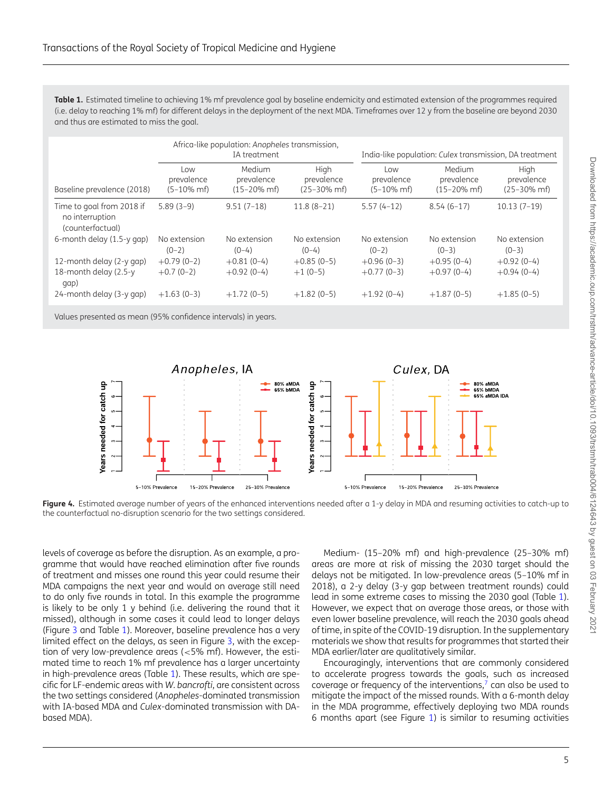<span id="page-4-0"></span>**Table 1.** Estimated timeline to achieving 1% mf prevalence goal by baseline endemicity and estimated extension of the programmes required (i.e. delay to reaching 1% mf) for different delays in the deployment of the next MDA. Timeframes over 12 y from the baseline are beyond 2030 and thus are estimated to miss the goal.

|                                                                  | Africa-like population: Anopheles transmission,<br>IA treatment |                                                  |                                                 | India-like population: Culex transmission, DA treatment |                                                   |                                                 |
|------------------------------------------------------------------|-----------------------------------------------------------------|--------------------------------------------------|-------------------------------------------------|---------------------------------------------------------|---------------------------------------------------|-------------------------------------------------|
| Baseline prevalence (2018)                                       | Low<br>prevalence<br>$(5-10\% \text{ m}$ f)                     | Medium<br>prevalence<br>$(15 - 20\% \text{ m}f)$ | Hiah<br>prevalence<br>$(25 - 30\% \text{ m}$ f) | Low<br>prevalence<br>$(5-10\% \text{ m}$ f)             | Medium<br>prevalence<br>$(15 - 20\% \text{ m}$ f) | High<br>prevalence<br>$(25 - 30\% \text{ m}$ f) |
| Time to goal from 2018 if<br>no interruption<br>(counterfactual) | $5.89(3-9)$                                                     | $9.51(7-18)$                                     | $11.8(8-21)$                                    | $5.57(4-12)$                                            | $8.54(6-17)$                                      | $10.13(7-19)$                                   |
| 6-month delay (1.5-y gap)                                        | No extension<br>$(0-2)$                                         | No extension<br>$(0-4)$                          | No extension<br>$(0-4)$                         | No extension<br>$(0-2)$                                 | No extension<br>$(0-3)$                           | No extension<br>$(0-3)$                         |
| 12-month delay (2-y gap)                                         | $+0.79(0-2)$                                                    | $+0.81(0-4)$                                     | $+0.85(0-5)$                                    | $+0.96(0-3)$                                            | $+0.95(0-4)$                                      | $+0.92(0-4)$                                    |
| 18-month delay (2.5-y<br>qap)                                    | $+0.7(0-2)$                                                     | $+0.92(0-4)$                                     | $+1(0-5)$                                       | $+0.77(0-3)$                                            | $+0.97(0-4)$                                      | $+0.94(0-4)$                                    |
| 24-month delay (3-y gap)                                         | $+1.63(0-3)$                                                    | $+1.72(0-5)$                                     | $+1.82(0-5)$                                    | $+1.92(0-4)$                                            | $+1.87(0-5)$                                      | $+1.85(0-5)$                                    |
|                                                                  |                                                                 |                                                  |                                                 |                                                         |                                                   |                                                 |

Values presented as mean (95% confidence intervals) in years.

<span id="page-4-1"></span>

**Figure 4.** Estimated average number of years of the enhanced interventions needed after a 1-y delay in MDA and resuming activities to catch-up to the counterfactual no-disruption scenario for the two settings considered.

levels of coverage as before the disruption. As an example, a programme that would have reached elimination after five rounds of treatment and misses one round this year could resume their MDA campaigns the next year and would on average still need to do only five rounds in total. In this example the programme is likely to be only 1 y behind (i.e. delivering the round that it missed), although in some cases it could lead to longer delays (Figure [3](#page-3-0) and Table [1\)](#page-4-0). Moreover, baseline prevalence has a very limited effect on the delays, as seen in Figure [3,](#page-3-0) with the exception of very low-prevalence areas (<5% mf). However, the estimated time to reach 1% mf prevalence has a larger uncertainty in high-prevalence areas (Table [1\)](#page-4-0). These results, which are specific for LF-endemic areas with *W. bancrofti*, are consistent across the two settings considered (*Anopheles*-dominated transmission with IA-based MDA and *Culex*-dominated transmission with DAbased MDA).

Medium- (15–20% mf) and high-prevalence (25–30% mf) areas are more at risk of missing the 2030 target should the delays not be mitigated. In low-prevalence areas (5–10% mf in 2018), a 2-y delay (3-y gap between treatment rounds) could lead in some extreme cases to missing the 2030 goal (Table [1\)](#page-4-0). However, we expect that on average those areas, or those with even lower baseline prevalence, will reach the 2030 goals ahead of time, in spite of the COVID-19 disruption. In the supplementary materials we show that results for programmes that started their MDA earlier/later are qualitatively similar.

Encouragingly, interventions that are commonly considered to accelerate progress towards the goals, such as increased coverage or frequency of the interventions, $<sup>7</sup>$  can also be used to</sup> mitigate the impact of the missed rounds. With a 6-month delay in the MDA programme, effectively deploying two MDA rounds 6 months apart (see Figure [1\)](#page-2-0) is similar to resuming activities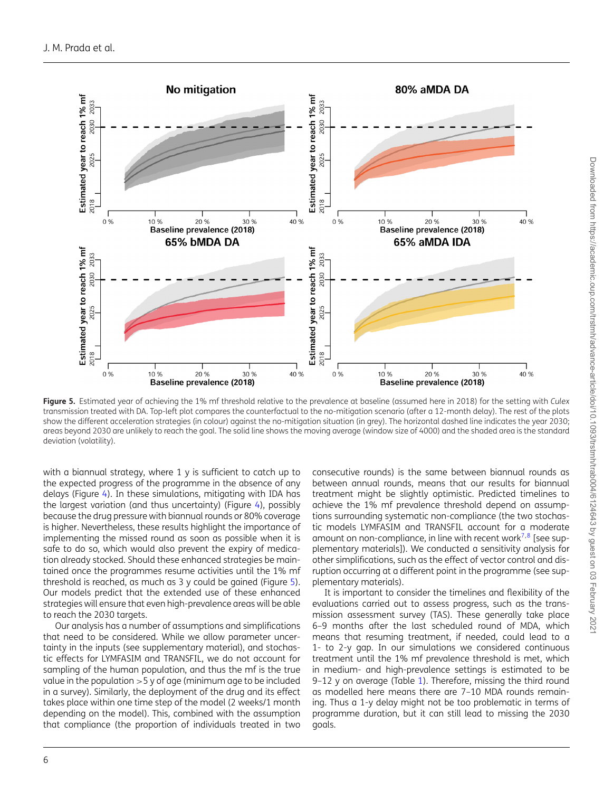<span id="page-5-0"></span>

**Figure 5.** Estimated year of achieving the 1% mf threshold relative to the prevalence at baseline (assumed here in 2018) for the setting with *Culex* transmission treated with DA. Top-left plot compares the counterfactual to the no-mitigation scenario (after a 12-month delay). The rest of the plots show the different acceleration strategies (in colour) against the no-mitigation situation (in grey). The horizontal dashed line indicates the year 2030; areas beyond 2030 are unlikely to reach the goal. The solid line shows the moving average (window size of 4000) and the shaded area is the standard deviation (volatility).

with a biannual strategy, where 1 y is sufficient to catch up to the expected progress of the programme in the absence of any delays (Figure [4\)](#page-4-1). In these simulations, mitigating with IDA has the largest variation (and thus uncertainty) (Figure [4\)](#page-4-1), possibly because the drug pressure with biannual rounds or 80% coverage is higher. Nevertheless, these results highlight the importance of implementing the missed round as soon as possible when it is safe to do so, which would also prevent the expiry of medication already stocked. Should these enhanced strategies be maintained once the programmes resume activities until the 1% mf threshold is reached, as much as 3 y could be gained (Figure [5\)](#page-5-0). Our models predict that the extended use of these enhanced strategies will ensure that even high-prevalence areas will be able to reach the 2030 targets.

Our analysis has a number of assumptions and simplifications that need to be considered. While we allow parameter uncertainty in the inputs (see supplementary material), and stochastic effects for LYMFASIM and TRANSFIL, we do not account for sampling of the human population, and thus the mf is the true value in the population  $>5$  y of age (minimum age to be included in a survey). Similarly, the deployment of the drug and its effect takes place within one time step of the model (2 weeks/1 month depending on the model). This, combined with the assumption that compliance (the proportion of individuals treated in two

consecutive rounds) is the same between biannual rounds as between annual rounds, means that our results for biannual treatment might be slightly optimistic. Predicted timelines to achieve the 1% mf prevalence threshold depend on assumptions surrounding systematic non-compliance (the two stochastic models LYMFASIM and TRANSFIL account for a moderate amount on non-compliance, in line with recent work<sup>[7,](#page-6-7)[8](#page-6-6)</sup> [see supplementary materials]). We conducted a sensitivity analysis for other simplifications, such as the effect of vector control and disruption occurring at a different point in the programme (see supplementary materials).

It is important to consider the timelines and flexibility of the evaluations carried out to assess progress, such as the transmission assessment survey (TAS). These generally take place 6–9 months after the last scheduled round of MDA, which means that resuming treatment, if needed, could lead to a 1- to 2-y gap. In our simulations we considered continuous treatment until the 1% mf prevalence threshold is met, which in medium- and high-prevalence settings is estimated to be 9–12 y on average (Table [1\)](#page-4-0). Therefore, missing the third round as modelled here means there are 7–10 MDA rounds remaining. Thus a 1-y delay might not be too problematic in terms of programme duration, but it can still lead to missing the 2030 goals.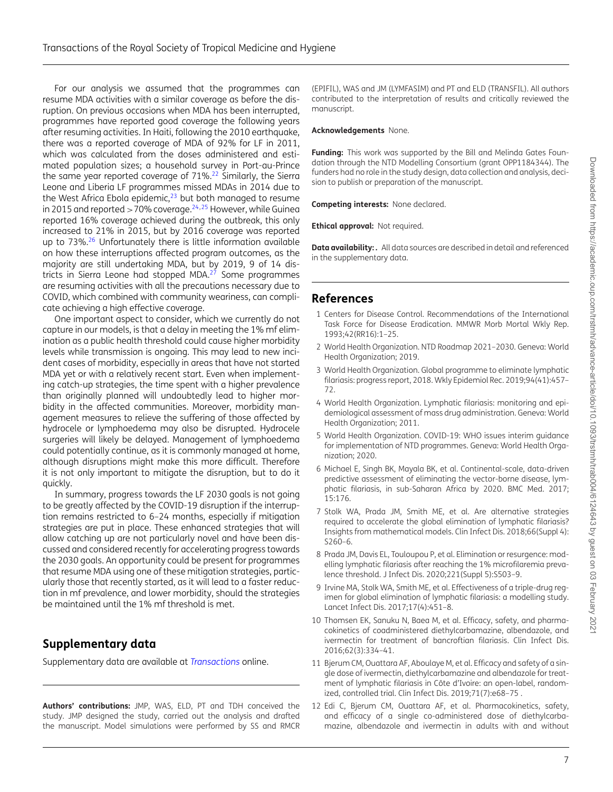For our analysis we assumed that the programmes can resume MDA activities with a similar coverage as before the disruption. On previous occasions when MDA has been interrupted, programmes have reported good coverage the following years after resuming activities. In Haiti, following the 2010 earthquake, there was a reported coverage of MDA of 92% for LF in 2011, which was calculated from the doses administered and estimated population sizes; a household survey in Port-au-Prince the same year reported coverage of  $71\%$ <sup>22</sup> Similarly, the Sierra Leone and Liberia LF programmes missed MDAs in 2014 due to the West Africa Ebola epidemic, $23$  but both managed to resume in 2015 and reported  $>70\%$  coverage.<sup>24,[25](#page-7-12)</sup> However, while Guinea reported 16% coverage achieved during the outbreak, this only increased to 21% in 2015, but by 2016 coverage was reported up to 73%.<sup>26</sup> Unfortunately there is little information available on how these interruptions affected program outcomes, as the majority are still undertaking MDA, but by 2019, 9 of 14 districts in Sierra Leone had stopped MDA. $2<sup>7</sup>$  Some programmes are resuming activities with all the precautions necessary due to COVID, which combined with community weariness, can complicate achieving a high effective coverage.

One important aspect to consider, which we currently do not capture in our models, is that a delay in meeting the 1% mf elimination as a public health threshold could cause higher morbidity levels while transmission is ongoing. This may lead to new incident cases of morbidity, especially in areas that have not started MDA yet or with a relatively recent start. Even when implementing catch-up strategies, the time spent with a higher prevalence than originally planned will undoubtedly lead to higher morbidity in the affected communities. Moreover, morbidity management measures to relieve the suffering of those affected by hydrocele or lymphoedema may also be disrupted. Hydrocele surgeries will likely be delayed. Management of lymphoedema could potentially continue, as it is commonly managed at home, although disruptions might make this more difficult. Therefore it is not only important to mitigate the disruption, but to do it quickly.

In summary, progress towards the LF 2030 goals is not going to be greatly affected by the COVID-19 disruption if the interruption remains restricted to 6–24 months, especially if mitigation strategies are put in place. These enhanced strategies that will allow catching up are not particularly novel and have been discussed and considered recently for accelerating progress towards the 2030 goals. An opportunity could be present for programmes that resume MDA using one of these mitigation strategies, particularly those that recently started, as it will lead to a faster reduction in mf prevalence, and lower morbidity, should the strategies be maintained until the 1% mf threshold is met.

## **Supplementary data**

Supplementary data are available at *[Transactions](https://academic.oup.com/trstmh/article-lookup/doi/10.1093/trstmh/trab004#supplementary-data)* online.

**Authors' contributions:** JMP, WAS, ELD, PT and TDH conceived the study. JMP designed the study, carried out the analysis and drafted the manuscript. Model simulations were performed by SS and RMCR (EPIFIL), WAS and JM (LYMFASIM) and PT and ELD (TRANSFIL). All authors contributed to the interpretation of results and critically reviewed the manuscript.

#### **Acknowledgements** None.

**Funding:** This work was supported by the Bill and Melinda Gates Foundation through the NTD Modelling Consortium (grant OPP1184344). The funders had no role in the study design, data collection and analysis, decision to publish or preparation of the manuscript.

**Competing interests:** None declared.

**Ethical approval:** Not required.

**Data availability: .** All data sources are described in detail and referenced in the supplementary data.

### **References**

- <span id="page-6-0"></span>1 Centers for Disease Control. Recommendations of the International Task Force for Disease Eradication. MMWR Morb Mortal Wkly Rep. 1993;42(RR16):1–25.
- <span id="page-6-1"></span>2 World Health Organization. NTD Roadmap 2021–2030. Geneva: World Health Organization; 2019.
- <span id="page-6-2"></span>3 World Health Organization. Global programme to eliminate lymphatic filariasis: progress report, 2018. Wkly Epidemiol Rec. 2019;94(41):457– 72.
- <span id="page-6-3"></span>4 World Health Organization. Lymphatic filariasis: monitoring and epidemiological assessment of mass drug administration. Geneva: World Health Organization; 2011.
- <span id="page-6-4"></span>5 World Health Organization. COVID-19: WHO issues interim guidance for implementation of NTD programmes. Geneva: World Health Organization; 2020.
- <span id="page-6-5"></span>6 Michael E, Singh BK, Mayala BK, et al. Continental-scale, data-driven predictive assessment of eliminating the vector-borne disease, lymphatic filariasis, in sub-Saharan Africa by 2020. BMC Med. 2017; 15:176.
- <span id="page-6-7"></span>7 Stolk WA, Prada JM, Smith ME, et al. Are alternative strategies required to accelerate the global elimination of lymphatic filariasis? Insights from mathematical models. Clin Infect Dis. 2018;66(Suppl 4): S260–6.
- <span id="page-6-6"></span>8 Prada JM, Davis EL, Touloupou P, et al. Elimination or resurgence: modelling lymphatic filariasis after reaching the 1% microfilaremia prevalence threshold. J Infect Dis. 2020;221(Suppl 5):S503–9.
- <span id="page-6-8"></span>9 Irvine MA, Stolk WA, Smith ME, et al. Effectiveness of a triple-drug regimen for global elimination of lymphatic filariasis: a modelling study. Lancet Infect Dis. 2017;17(4):451–8.
- 10 Thomsen EK, Sanuku N, Baea M, et al. Efficacy, safety, and pharmacokinetics of coadministered diethylcarbamazine, albendazole, and ivermectin for treatment of bancroftian filariasis. Clin Infect Dis. 2016;62(3):334–41.
- 11 Bjerum CM, Ouattara AF, Aboulaye M, et al. Efficacy and safety of a single dose of ivermectin, diethylcarbamazine and albendazole for treatment of lymphatic filariasis in Côte d'Ivoire: an open-label, randomized, controlled trial. Clin Infect Dis. 2019;71(7):e68–75 .
- 12 Edi C, Bjerum CM, Ouattara AF, et al. Pharmacokinetics, safety, and efficacy of a single co-administered dose of diethylcarbamazine, albendazole and ivermectin in adults with and without